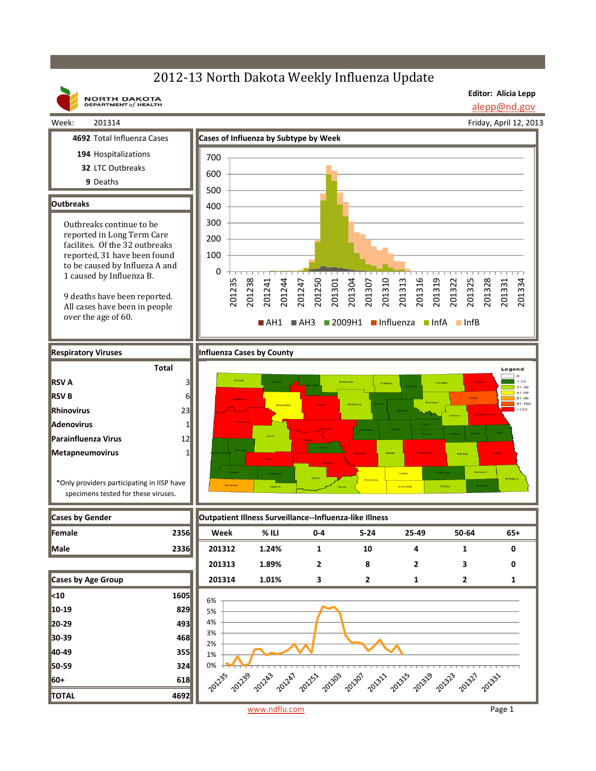## 2012-13 North Dakota Weekly Influenza Update

**NORTH DAKOTA**<br>DEPARTMENT of HEALTH

**Editor: Alicia Lepp**